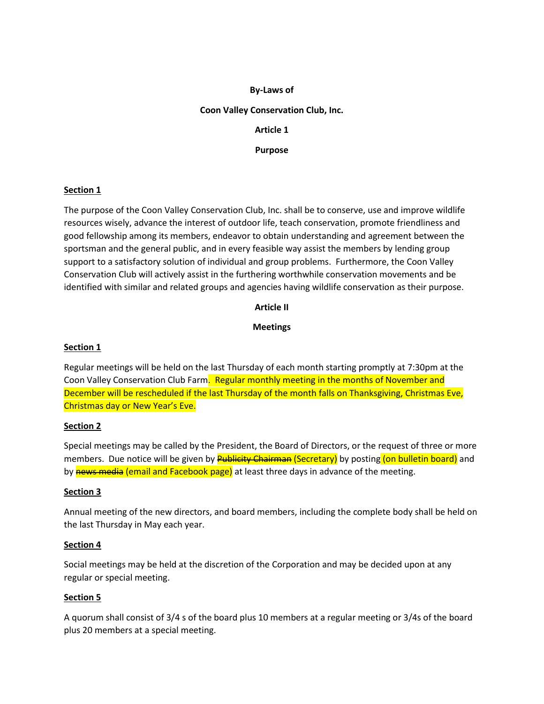### **By-Laws of**

#### **Coon Valley Conservation Club, Inc.**

**Article 1**

**Purpose**

#### **Section 1**

The purpose of the Coon Valley Conservation Club, Inc. shall be to conserve, use and improve wildlife resources wisely, advance the interest of outdoor life, teach conservation, promote friendliness and good fellowship among its members, endeavor to obtain understanding and agreement between the sportsman and the general public, and in every feasible way assist the members by lending group support to a satisfactory solution of individual and group problems. Furthermore, the Coon Valley Conservation Club will actively assist in the furthering worthwhile conservation movements and be identified with similar and related groups and agencies having wildlife conservation as their purpose.

## **Article II**

## **Meetings**

### **Section 1**

Regular meetings will be held on the last Thursday of each month starting promptly at 7:30pm at the Coon Valley Conservation Club Farm. Regular monthly meeting in the months of November and December will be rescheduled if the last Thursday of the month falls on Thanksgiving, Christmas Eve, Christmas day or New Year's Eve.

#### **Section 2**

Special meetings may be called by the President, the Board of Directors, or the request of three or more members. Due notice will be given by **Publicity Chairman (Secretary)** by posting (on bulletin board) and by news media (email and Facebook page) at least three days in advance of the meeting.

#### **Section 3**

Annual meeting of the new directors, and board members, including the complete body shall be held on the last Thursday in May each year.

#### **Section 4**

Social meetings may be held at the discretion of the Corporation and may be decided upon at any regular or special meeting.

#### **Section 5**

A quorum shall consist of 3/4 s of the board plus 10 members at a regular meeting or 3/4s of the board plus 20 members at a special meeting.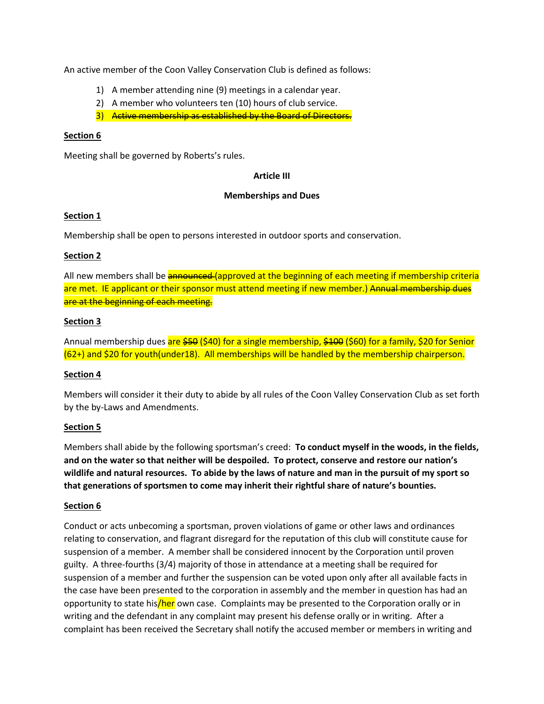An active member of the Coon Valley Conservation Club is defined as follows:

- 1) A member attending nine (9) meetings in a calendar year.
- 2) A member who volunteers ten (10) hours of club service.
- 3) Active membership as established by the Board of Directors.

#### **Section 6**

Meeting shall be governed by Roberts's rules.

#### **Article III**

#### **Memberships and Dues**

#### **Section 1**

Membership shall be open to persons interested in outdoor sports and conservation.

## **Section 2**

All new members shall be **announced** (approved at the beginning of each meeting if membership criteria are met. IE applicant or their sponsor must attend meeting if new member.) Annual membership dues are at the beginning of each meeting.

## **Section 3**

Annual membership dues are \$50 (\$40) for a single membership, \$100 (\$60) for a family, \$20 for Senior (62+) and \$20 for youth(under18). All memberships will be handled by the membership chairperson.

#### **Section 4**

Members will consider it their duty to abide by all rules of the Coon Valley Conservation Club as set forth by the by-Laws and Amendments.

#### **Section 5**

Members shall abide by the following sportsman's creed: **To conduct myself in the woods, in the fields, and on the water so that neither will be despoiled. To protect, conserve and restore our nation's wildlife and natural resources. To abide by the laws of nature and man in the pursuit of my sport so that generations of sportsmen to come may inherit their rightful share of nature's bounties.**

#### **Section 6**

Conduct or acts unbecoming a sportsman, proven violations of game or other laws and ordinances relating to conservation, and flagrant disregard for the reputation of this club will constitute cause for suspension of a member. A member shall be considered innocent by the Corporation until proven guilty. A three-fourths (3/4) majority of those in attendance at a meeting shall be required for suspension of a member and further the suspension can be voted upon only after all available facts in the case have been presented to the corporation in assembly and the member in question has had an opportunity to state his/her own case. Complaints may be presented to the Corporation orally or in writing and the defendant in any complaint may present his defense orally or in writing. After a complaint has been received the Secretary shall notify the accused member or members in writing and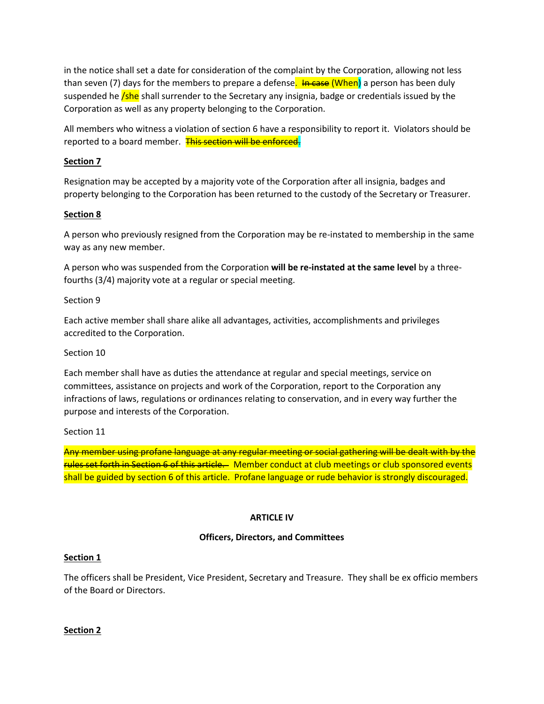in the notice shall set a date for consideration of the complaint by the Corporation, allowing not less than seven (7) days for the members to prepare a defense. In case (When) a person has been duly suspended he *(she* shall surrender to the Secretary any insignia, badge or credentials issued by the Corporation as well as any property belonging to the Corporation.

All members who witness a violation of section 6 have a responsibility to report it. Violators should be reported to a board member. This section will be enforced.

## **Section 7**

Resignation may be accepted by a majority vote of the Corporation after all insignia, badges and property belonging to the Corporation has been returned to the custody of the Secretary or Treasurer.

## **Section 8**

A person who previously resigned from the Corporation may be re-instated to membership in the same way as any new member.

A person who was suspended from the Corporation **will be re-instated at the same level** by a threefourths (3/4) majority vote at a regular or special meeting.

Section 9

Each active member shall share alike all advantages, activities, accomplishments and privileges accredited to the Corporation.

#### Section 10

Each member shall have as duties the attendance at regular and special meetings, service on committees, assistance on projects and work of the Corporation, report to the Corporation any infractions of laws, regulations or ordinances relating to conservation, and in every way further the purpose and interests of the Corporation.

Section 11

Any member using profane language at any regular meeting or social gathering will be dealt with by the rules set forth in Section 6 of this article. Member conduct at club meetings or club sponsored events shall be guided by section 6 of this article. Profane language or rude behavior is strongly discouraged.

#### **ARTICLE IV**

#### **Officers, Directors, and Committees**

#### **Section 1**

The officers shall be President, Vice President, Secretary and Treasure. They shall be ex officio members of the Board or Directors.

#### **Section 2**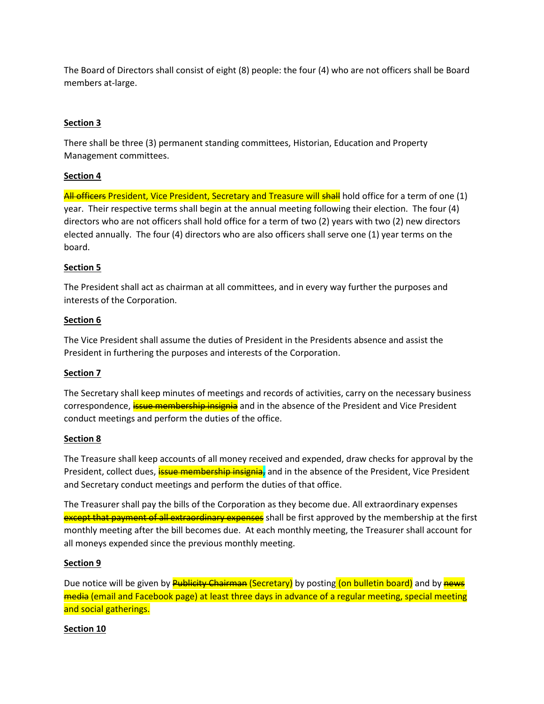The Board of Directors shall consist of eight (8) people: the four (4) who are not officers shall be Board members at-large.

# **Section 3**

There shall be three (3) permanent standing committees, Historian, Education and Property Management committees.

## **Section 4**

All officers President, Vice President, Secretary and Treasure will shall hold office for a term of one (1) year. Their respective terms shall begin at the annual meeting following their election. The four (4) directors who are not officers shall hold office for a term of two (2) years with two (2) new directors elected annually. The four (4) directors who are also officers shall serve one (1) year terms on the board.

## **Section 5**

The President shall act as chairman at all committees, and in every way further the purposes and interests of the Corporation.

## **Section 6**

The Vice President shall assume the duties of President in the Presidents absence and assist the President in furthering the purposes and interests of the Corporation.

#### **Section 7**

The Secretary shall keep minutes of meetings and records of activities, carry on the necessary business correspondence, **issue membership insignia** and in the absence of the President and Vice President conduct meetings and perform the duties of the office.

#### **Section 8**

The Treasure shall keep accounts of all money received and expended, draw checks for approval by the President, collect dues, *issue membership insignia*, and in the absence of the President, Vice President and Secretary conduct meetings and perform the duties of that office.

The Treasurer shall pay the bills of the Corporation as they become due. All extraordinary expenses except that payment of all extraordinary expenses shall be first approved by the membership at the first monthly meeting after the bill becomes due. At each monthly meeting, the Treasurer shall account for all moneys expended since the previous monthly meeting.

#### **Section 9**

Due notice will be given by **Publicity Chairman (Secretary)** by posting (on bulletin board) and by news media (email and Facebook page) at least three days in advance of a regular meeting, special meeting and social gatherings.

# **Section 10**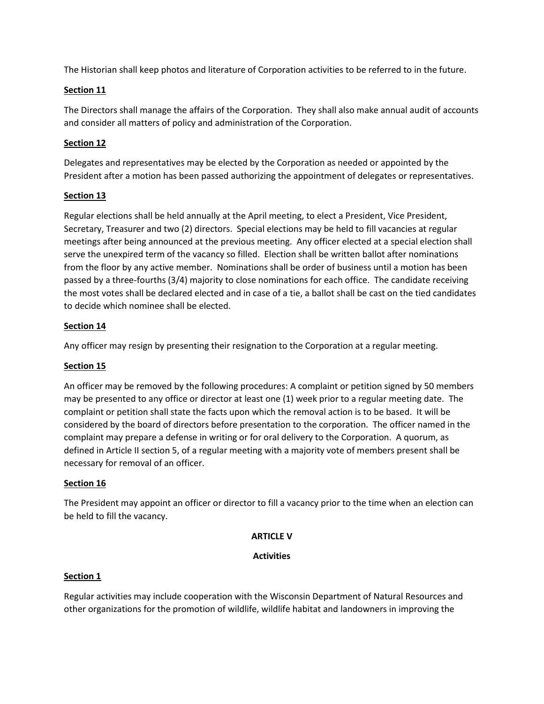The Historian shall keep photos and literature of Corporation activities to be referred to in the future.

### **Section 11**

The Directors shall manage the affairs of the Corporation. They shall also make annual audit of accounts and consider all matters of policy and administration of the Corporation.

## **Section 12**

Delegates and representatives may be elected by the Corporation as needed or appointed by the President after a motion has been passed authorizing the appointment of delegates or representatives.

## **Section 13**

Regular elections shall be held annually at the April meeting, to elect a President, Vice President, Secretary, Treasurer and two (2) directors. Special elections may be held to fill vacancies at regular meetings after being announced at the previous meeting. Any officer elected at a special election shall serve the unexpired term of the vacancy so filled. Election shall be written ballot after nominations from the floor by any active member. Nominations shall be order of business until a motion has been passed by a three-fourths (3/4) majority to close nominations for each office. The candidate receiving the most votes shall be declared elected and in case of a tie, a ballot shall be cast on the tied candidates to decide which nominee shall be elected.

#### **Section 14**

Any officer may resign by presenting their resignation to the Corporation at a regular meeting.

# **Section 15**

An officer may be removed by the following procedures: A complaint or petition signed by 50 members may be presented to any office or director at least one (1) week prior to a regular meeting date. The complaint or petition shall state the facts upon which the removal action is to be based. It will be considered by the board of directors before presentation to the corporation. The officer named in the complaint may prepare a defense in writing or for oral delivery to the Corporation. A quorum, as defined in Article II section 5, of a regular meeting with a majority vote of members present shall be necessary for removal of an officer.

# **Section 16**

The President may appoint an officer or director to fill a vacancy prior to the time when an election can be held to fill the vacancy.

#### **ARTICLE V**

#### **Activities**

#### **Section 1**

Regular activities may include cooperation with the Wisconsin Department of Natural Resources and other organizations for the promotion of wildlife, wildlife habitat and landowners in improving the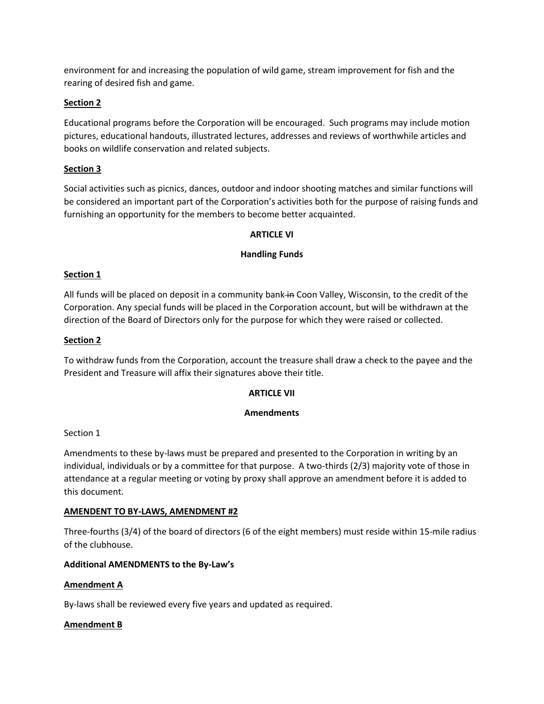environment for and increasing the population of wild game, stream improvement for fish and the rearing of desired fish and game.

## **Section 2**

Educational programs before the Corporation will be encouraged. Such programs may include motion pictures, educational handouts, illustrated lectures, addresses and reviews of worthwhile articles and books on wildlife conservation and related subjects.

## **Section 3**

Social activities such as picnics, dances, outdoor and indoor shooting matches and similar functions will be considered an important part of the Corporation's activities both for the purpose of raising funds and furnishing an opportunity for the members to become better acquainted.

#### **ARTICLE VI**

#### **Handling Funds**

#### **Section 1**

All funds will be placed on deposit in a community bank in Coon Valley, Wisconsin, to the credit of the Corporation. Any special funds will be placed in the Corporation account, but will be withdrawn at the direction of the Board of Directors only for the purpose for which they were raised or collected.

#### **Section 2**

To withdraw funds from the Corporation, account the treasure shall draw a check to the payee and the President and Treasure will affix their signatures above their title.

#### **ARTICLE VII**

#### **Amendments**

#### Section 1

Amendments to these by-laws must be prepared and presented to the Corporation in writing by an individual, individuals or by a committee for that purpose. A two-thirds (2/3) majority vote of those in attendance at a regular meeting or voting by proxy shall approve an amendment before it is added to this document.

#### **AMENDENT TO BY-LAWS, AMENDMENT #2**

Three-fourths (3/4) of the board of directors (6 of the eight members) must reside within 15-mile radius of the clubhouse.

#### **Additional AMENDMENTS to the By-Law's**

#### **Amendment A**

By-laws shall be reviewed every five years and updated as required.

#### **Amendment B**